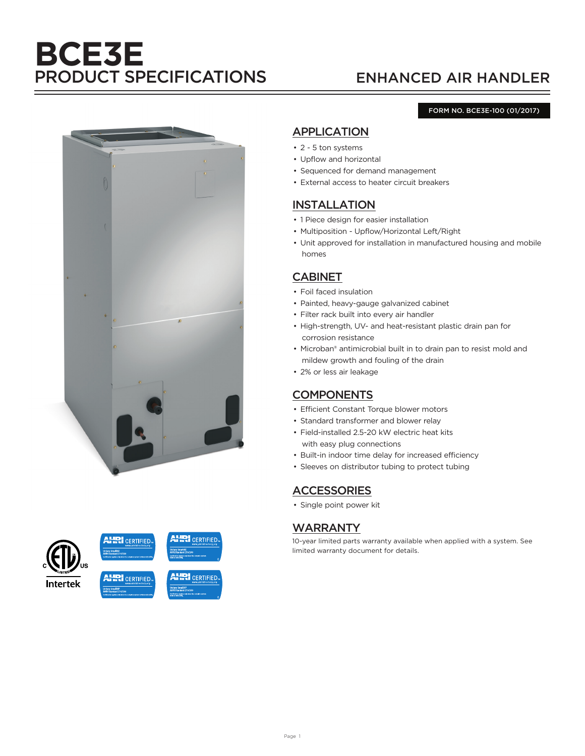# **BCE3E** PRODUCT SPECIFICATIONS ENHANCED AIR HANDLER

#### FORM NO. BCE3E-100 (01/2017)





# APPLICATION

- 2 5 ton systems
- Upflow and horizontal
- Sequenced for demand management
- External access to heater circuit breakers

## INSTALLATION

- 1 Piece design for easier installation
- Multiposition Upflow/Horizontal Left/Right
- Unit approved for installation in manufactured housing and mobile homes

# CABINET

- Foil faced insulation
- Painted, heavy-gauge galvanized cabinet
- Filter rack built into every air handler
- High-strength, UV- and heat-resistant plastic drain pan for corrosion resistance
- Microban® antimicrobial built in to drain pan to resist mold and mildew growth and fouling of the drain
- 2% or less air leakage

# **COMPONENTS**

- Efficient Constant Torque blower motors
- Standard transformer and blower relay
- Field-installed 2.5-20 kW electric heat kits with easy plug connections
- Built-in indoor time delay for increased efficiency
- Sleeves on distributor tubing to protect tubing

# **ACCESSORIES**

• Single point power kit

# WARRANTY

10-year limited parts warranty available when applied with a system. See limited warranty document for details.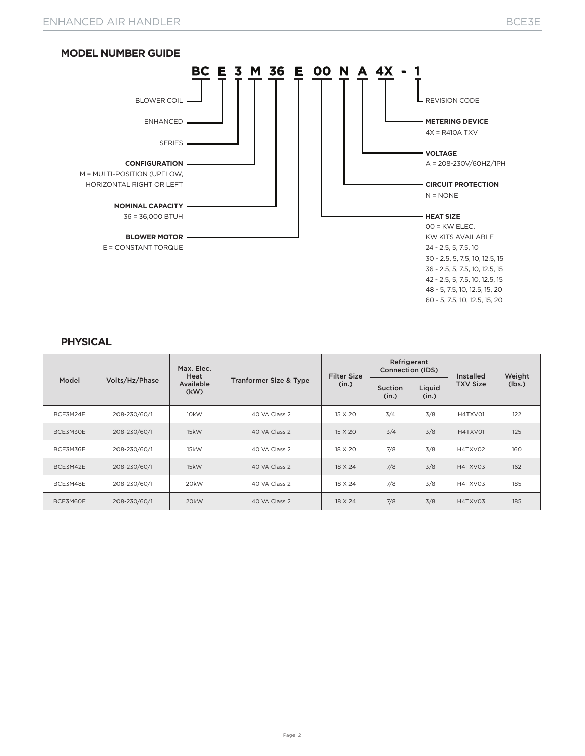

#### **PHYSICAL**

| Model    |                | Max. Elec.<br>Heat |                                   | <b>Filter Size</b> | Refrigerant<br>Connection (IDS) |                 | Installed       | Weight<br>(lbs.) |
|----------|----------------|--------------------|-----------------------------------|--------------------|---------------------------------|-----------------|-----------------|------------------|
|          | Volts/Hz/Phase | Available<br>(kW)  | <b>Tranformer Size &amp; Type</b> | (in.)              | Suction<br>(in.)                | Liquid<br>(in.) | <b>TXV Size</b> |                  |
| BCE3M24E | 208-230/60/1   | 10 <sub>k</sub> W  | 40 VA Class 2                     | 15 X 20            | 3/4                             | 3/8             | H4TXV01         | 122              |
| BCE3M30E | 208-230/60/1   | 15kW               | 40 VA Class 2                     | 15 X 20            | 3/4                             | 3/8             | H4TXV01         | 125              |
| BCE3M36E | 208-230/60/1   | 15kW               | 40 VA Class 2                     | 18 X 20            | 7/8                             | 3/8             | H4TXV02         | 160              |
| BCE3M42E | 208-230/60/1   | 15kW               | 40 VA Class 2                     | 18 X 24            | 7/8                             | 3/8             | H4TXV03         | 162              |
| BCE3M48E | 208-230/60/1   | 20kW               | 40 VA Class 2                     | 18 X 24            | 7/8                             | 3/8             | H4TXV03         | 185              |
| BCE3M60E | 208-230/60/1   | 20 <sub>k</sub> W  | 40 VA Class 2                     | 18 X 24            | 7/8                             | 3/8             | H4TXV03         | 185              |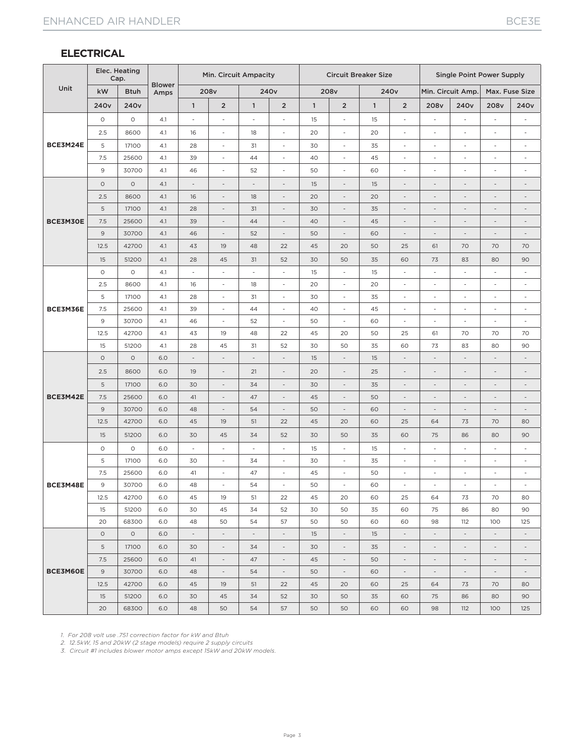#### **ELECTRICAL**

|          | Elec. Heating<br>Cap. |                  |                       | Min. Circuit Ampacity        |                          |                          | <b>Circuit Breaker Size</b> |              |                          |              | <b>Single Point Power Supply</b> |                          |                              |                              |                              |
|----------|-----------------------|------------------|-----------------------|------------------------------|--------------------------|--------------------------|-----------------------------|--------------|--------------------------|--------------|----------------------------------|--------------------------|------------------------------|------------------------------|------------------------------|
| Unit     | kW                    | <b>Btuh</b>      | <b>Blower</b><br>Amps |                              | 208v                     |                          | 240 <sub>v</sub>            |              | 208v                     |              | 240 <sub>v</sub>                 | Min. Circuit Amp.        |                              |                              | Max. Fuse Size               |
|          | 240 <sub>v</sub>      | 240 <sub>v</sub> |                       | $\mathbf{1}$                 | $\overline{2}$           | $\mathbf{1}$             | $\overline{2}$              | $\mathbf{1}$ | $\overline{2}$           | $\mathbf{1}$ | $\overline{2}$                   | 208 <sub>v</sub>         | 240 <sub>v</sub>             | 208v                         | 240 <sub>v</sub>             |
|          | $\circ$               | $\circ$          | 4.1                   | $\overline{\phantom{a}}$     | i,                       | $\overline{\phantom{a}}$ | ä,                          | 15           | L,                       | 15           | i,                               |                          | ÷,                           |                              | $\overline{a}$               |
|          | 2.5                   | 8600             | 4.1                   | 16                           | $\overline{a}$           | 18                       | $\overline{\phantom{a}}$    | 20           | ä,                       | 20           | $\overline{\phantom{a}}$         | $\overline{\phantom{a}}$ | ÷,                           | Ĭ.                           | $\overline{a}$               |
| BCE3M24E | 5                     | 17100            | 4.1                   | 28                           | $\overline{\phantom{a}}$ | 31                       | $\overline{\phantom{a}}$    | 30           | $\frac{1}{2}$            | 35           | $\overline{\phantom{a}}$         | $\overline{\phantom{a}}$ | $\overline{a}$               | $\overline{\phantom{a}}$     | $\overline{\phantom{a}}$     |
|          | 7.5                   | 25600            | 4.1                   | 39                           | $\overline{\phantom{a}}$ | 44                       | $\overline{\phantom{a}}$    | 40           | $\overline{\phantom{a}}$ | 45           | $\overline{\phantom{a}}$         | $\overline{\phantom{a}}$ | $\overline{\phantom{a}}$     | $\overline{\phantom{a}}$     | $\overline{\phantom{a}}$     |
|          | 9                     | 30700            | 4.1                   | 46                           | $\overline{\phantom{a}}$ | 52                       | $\overline{\phantom{a}}$    | 50           | $\overline{\phantom{a}}$ | 60           | $\overline{\phantom{a}}$         | $\overline{\phantom{a}}$ | Ĭ.                           | ä,                           | $\overline{\phantom{a}}$     |
|          | $\circ$               | $\circ$          | 4.1                   | $\qquad \qquad \blacksquare$ | $\overline{\phantom{a}}$ | $\overline{\phantom{a}}$ | $\overline{\phantom{a}}$    | 15           | $\overline{\phantom{a}}$ | 15           | $\overline{\phantom{a}}$         | $\overline{\phantom{a}}$ | $\qquad \qquad \blacksquare$ | $\overline{\phantom{0}}$     | $\overline{\phantom{a}}$     |
|          | 2.5                   | 8600             | 4.1                   | 16                           |                          | 18                       | $\overline{\phantom{a}}$    | 20           | $\overline{a}$           | 20           | $\overline{\phantom{a}}$         |                          |                              | $\overline{a}$               | $\overline{a}$               |
|          | $\mathsf S$           | 17100            | 4.1                   | 28                           | $\overline{\phantom{a}}$ | 31                       | $\overline{\phantom{a}}$    | 30           | $\overline{a}$           | 35           | $\overline{\phantom{a}}$         | $\overline{\phantom{a}}$ | $\overline{a}$               | $\overline{a}$               | $\overline{a}$               |
| BCE3M30E | 7.5                   | 25600            | 4.1                   | 39                           | $\overline{\phantom{a}}$ | 44                       | $\overline{\phantom{a}}$    | 40           | $\overline{\phantom{a}}$ | 45           | $\overline{\phantom{a}}$         | $\overline{\phantom{a}}$ | $\overline{\phantom{a}}$     | $\overline{\phantom{a}}$     | $\overline{\phantom{a}}$     |
|          | 9                     | 30700            | 4.1                   | 46                           | $\overline{\phantom{a}}$ | 52                       | $\overline{\phantom{a}}$    | 50           | $\overline{\phantom{a}}$ | 60           | $\overline{\phantom{a}}$         | $\overline{\phantom{a}}$ | $\overline{\phantom{a}}$     | $\frac{1}{2}$                | $\overline{\phantom{a}}$     |
|          | 12.5                  | 42700            | 4.1                   | 43                           | 19                       | 48                       | 22                          | 45           | 20                       | 50           | 25                               | 61                       | 70                           | 70                           | 70                           |
|          | 15                    | 51200            | 4.1                   | 28                           | 45                       | 31                       | 52                          | 30           | 50                       | 35           | 60                               | 73                       | 83                           | 80                           | 90                           |
|          | $\circ$               | $\circ$          | 4.1                   | $\overline{\phantom{a}}$     | $\overline{\phantom{a}}$ | $\overline{\phantom{a}}$ | $\overline{\phantom{a}}$    | 15           | $\overline{\phantom{a}}$ | 15           | $\overline{\phantom{a}}$         | $\overline{\phantom{a}}$ | $\overline{\phantom{a}}$     | $\overline{\phantom{a}}$     | $\overline{\phantom{a}}$     |
|          | 2.5                   | 8600             | 4.1                   | 16                           | $\overline{\phantom{a}}$ | 18                       | $\overline{\phantom{a}}$    | 20           | $\overline{\phantom{a}}$ | 20           | $\overline{\phantom{a}}$         | $\overline{\phantom{a}}$ | $\overline{\phantom{a}}$     | $\overline{\phantom{a}}$     | $\overline{\phantom{a}}$     |
|          | 5                     | 17100            | 4.1                   | 28                           | $\overline{\phantom{a}}$ | 31                       | $\overline{\phantom{a}}$    | 30           | $\overline{\phantom{a}}$ | 35           | $\overline{\phantom{a}}$         | $\overline{\phantom{a}}$ | $\overline{\phantom{a}}$     | $\overline{\phantom{a}}$     | ÷,                           |
| BCE3M36E | 7.5                   | 25600            | 4.1                   | 39                           | $\overline{\phantom{a}}$ | 44                       | $\overline{\phantom{a}}$    | 40           | $\overline{\phantom{a}}$ | 45           | $\overline{\phantom{a}}$         | $\overline{\phantom{a}}$ | $\overline{\phantom{a}}$     | $\overline{\phantom{a}}$     | $\overline{\phantom{a}}$     |
|          | 9                     | 30700            | 4.1                   | 46                           | $\overline{\phantom{a}}$ | 52                       | $\overline{\phantom{a}}$    | 50           | $\overline{\phantom{a}}$ | 60           | $\overline{\phantom{a}}$         | $\overline{\phantom{a}}$ | $\overline{\phantom{a}}$     | $\overline{\phantom{a}}$     | $\overline{\phantom{a}}$     |
|          | 12.5                  | 42700            | 4.1                   | 43                           | 19                       | 48                       | 22                          | 45           | 20                       | 50           | 25                               | 61                       | 70                           | 70                           | 70                           |
|          | 15                    | 51200            | 4.1                   | 28                           | 45                       | 31                       | 52                          | 30           | 50                       | 35           | 60                               | 73                       | 83                           | 80                           | 90                           |
|          | $\circ$               | $\circ$          | 6.0                   | $\qquad \qquad \blacksquare$ | $\overline{\phantom{a}}$ | $\overline{\phantom{a}}$ | $\overline{\phantom{a}}$    | 15           | $\overline{a}$           | 15           | $\overline{\phantom{a}}$         |                          | $\overline{a}$               | $\overline{a}$               | $\overline{a}$               |
|          | 2.5                   | 8600             | 6.0                   | 19                           | $\overline{\phantom{a}}$ | 21                       | $\overline{\phantom{a}}$    | 20           | $\overline{\phantom{a}}$ | 25           | $\overline{\phantom{a}}$         | $\overline{\phantom{a}}$ | $\overline{\phantom{a}}$     | $\overline{a}$               | $\qquad \qquad \blacksquare$ |
|          | 5                     | 17100            | 6.0                   | 30                           | $\overline{\phantom{a}}$ | 34                       | $\overline{\phantom{a}}$    | 30           | $\frac{1}{2}$            | 35           | $\overline{\phantom{a}}$         | $\overline{\phantom{a}}$ | $\overline{\phantom{a}}$     | $\overline{a}$               | $\overline{a}$               |
| BCE3M42E | 7.5                   | 25600            | 6.0                   | 41                           | $\overline{\phantom{a}}$ | 47                       | $\overline{\phantom{a}}$    | 45           | $\overline{a}$           | 50           | $\overline{\phantom{a}}$         | $\overline{\phantom{a}}$ | $\overline{a}$               | $\overline{a}$               | $\frac{1}{2}$                |
|          | $\mathsf 9$           | 30700            | 6.0                   | 48                           | $\overline{\phantom{a}}$ | 54                       | $\overline{\phantom{a}}$    | 50           | $\overline{a}$           | 60           | $\overline{\phantom{a}}$         | $\overline{\phantom{a}}$ | $\overline{\phantom{a}}$     | $\qquad \qquad \blacksquare$ | $\overline{a}$               |
|          | 12.5                  | 42700            | 6.0                   | 45                           | 19                       | 51                       | 22                          | 45           | 20                       | 60           | 25                               | 64                       | 73                           | 70                           | 80                           |
|          | 15                    | 51200            | 6.0                   | 30                           | 45                       | 34                       | 52                          | 30           | 50                       | 35           | 60                               | 75                       | 86                           | 80                           | 90                           |
|          | $\circ$               | $\circ$          | 6.0                   | ä,                           | $\overline{\phantom{a}}$ | $\sim$                   | $\sim$                      | 15           | ÷,                       | 15           | $\overline{\phantom{a}}$         | $\sim$                   | ÷                            | ÷.                           | $\overline{\phantom{a}}$     |
|          | 5                     | 17100            | 6.0                   | 30                           | $\overline{\phantom{a}}$ | 34                       | ÷,                          | 30           | L,                       | 35           | $\overline{\phantom{a}}$         | $\overline{\phantom{a}}$ | $\overline{a}$               | $\overline{\phantom{a}}$     | $\overline{\phantom{a}}$     |
|          | 7.5                   | 25600            | 6.0                   | 41                           | $\overline{\phantom{a}}$ | 47                       | $\overline{\phantom{a}}$    | 45           | $\overline{\phantom{a}}$ | 50           | $\overline{\phantom{a}}$         | $\overline{\phantom{a}}$ | $\overline{\phantom{a}}$     | $\overline{\phantom{a}}$     | $\overline{\phantom{a}}$     |
| BCE3M48E | 9                     | 30700            | 6.0                   | 48                           | $\overline{\phantom{a}}$ | 54                       | $\overline{\phantom{a}}$    | 50           | L,                       | 60           | $\overline{\phantom{a}}$         | $\overline{\phantom{a}}$ | $\overline{\phantom{a}}$     | i,                           | L,                           |
|          | 12.5                  | 42700            | 6.0                   | 45                           | 19                       | 51                       | 22                          | 45           | 20                       | 60           | 25                               | 64                       | 73                           | 70                           | 80                           |
|          | 15                    | 51200            | 6.0                   | 30                           | 45                       | 34                       | 52                          | 30           | 50                       | 35           | 60                               | 75                       | 86                           | 80                           | 90                           |
|          | 20                    | 68300            | 6.0                   | 48                           | 50                       | 54                       | 57                          | 50           | 50                       | 60           | 60                               | 98                       | 112                          | 100                          | 125                          |
|          | $\circ$               | $\circ$          | 6.0                   | $\overline{\phantom{a}}$     | $\overline{\phantom{a}}$ | $\overline{\phantom{a}}$ | $\overline{\phantom{a}}$    | 15           | $\overline{\phantom{a}}$ | 15           | $\overline{\phantom{a}}$         | $\sim$                   | $\overline{\phantom{a}}$     | $\overline{\phantom{a}}$     | $\overline{\phantom{a}}$     |
|          | 5                     | 17100            | 6.0                   | 30                           | $\overline{\phantom{a}}$ | 34                       | $\overline{\phantom{a}}$    | 30           | $\overline{\phantom{a}}$ | 35           | $\overline{\phantom{a}}$         |                          | $\overline{\phantom{a}}$     | $\overline{\phantom{a}}$     | $\overline{\phantom{a}}$     |
|          | 7.5                   | 25600            | 6.0                   | 41                           | $\overline{\phantom{a}}$ | 47                       | $\overline{\phantom{a}}$    | 45           | $\overline{\phantom{a}}$ | 50           | $\overline{\phantom{a}}$         | $\overline{\phantom{a}}$ | $\overline{\phantom{a}}$     | $\overline{\phantom{a}}$     | $\overline{\phantom{a}}$     |
| BCE3M60E | 9                     | 30700            | 6.0                   | 48                           | $\overline{\phantom{a}}$ | 54                       | $\overline{\phantom{a}}$    | 50           | $\overline{\phantom{a}}$ | 60           | $\overline{\phantom{a}}$         | $\overline{\phantom{a}}$ | $\overline{\phantom{a}}$     | $\overline{\phantom{a}}$     | $\overline{\phantom{a}}$     |
|          | 12.5                  | 42700            | 6.0                   | 45                           | 19                       | 51                       | 22                          | 45           | 20                       | 60           | 25                               | 64                       | 73                           | 70                           | 80                           |
|          | 15                    | 51200            | 6.0                   | 30                           | 45                       | 34                       | 52                          | 30           | 50                       | 35           | 60                               | 75                       | 86                           | 80                           | 90                           |
|          | 20                    | 68300            | 6.0                   | 48                           | 50                       | 54                       | 57                          | 50           | 50                       | 60           | 60                               | 98                       | 112                          | 100                          | 125                          |

*1. For 208 volt use .751 correction factor for kW and Btuh*

*2. 12.5kW, 15 and 20kW (2 stage models) require 2 supply circuits*

*3. Circuit #1 includes blower motor amps except 15kW and 20kW models.*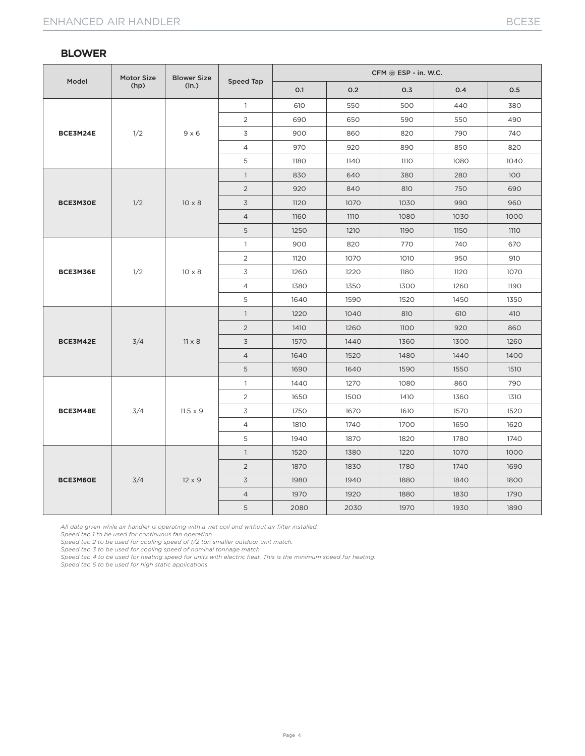|          | <b>Motor Size</b> | <b>Blower Size</b> |                | CFM @ ESP - in. W.C. |             |      |      |             |  |  |  |
|----------|-------------------|--------------------|----------------|----------------------|-------------|------|------|-------------|--|--|--|
| Model    | (hp)              | (in.)              | Speed Tap      | 0.1                  | 0.2         | 0.3  | 0.4  | 0.5         |  |  |  |
|          |                   |                    | $\mathbf{1}$   | 610                  | 550         | 500  | 440  | 380         |  |  |  |
| BCE3M24E |                   |                    | $\overline{2}$ | 690                  | 650         | 590  | 550  | 490         |  |  |  |
|          | 1/2               | $9 \times 6$       | 3              | 900                  | 860         | 820  | 790  | 740         |  |  |  |
|          |                   |                    | $\overline{4}$ | 970                  | 920         | 890  | 850  | 820         |  |  |  |
|          |                   |                    | 5              | 1180                 | 1140        | 1110 | 1080 | 1040        |  |  |  |
|          |                   |                    | $\mathbf{1}$   | 830                  | 640         | 380  | 280  | 100         |  |  |  |
|          |                   |                    | $\overline{2}$ | 920                  | 840         | 810  | 750  | 690         |  |  |  |
| BCE3M30E | 1/2               | $10 \times 8$      | $\overline{3}$ | 1120                 | 1070        | 1030 | 990  | 960         |  |  |  |
|          |                   |                    | $\overline{4}$ | 1160                 | <b>1110</b> | 1080 | 1030 | 1000        |  |  |  |
|          |                   |                    | 5              | 1250                 | 1210        | 1190 | 1150 | <b>1110</b> |  |  |  |
|          | 1/2               | $10 \times 8$      | $\mathbf{1}$   | 900                  | 820         | 770  | 740  | 670         |  |  |  |
|          |                   |                    | 2              | 1120                 | 1070        | 1010 | 950  | 910         |  |  |  |
| BCE3M36E |                   |                    | 3              | 1260                 | 1220        | 1180 | 1120 | 1070        |  |  |  |
|          |                   |                    | $\overline{4}$ | 1380                 | 1350        | 1300 | 1260 | 1190        |  |  |  |
|          |                   |                    | 5              | 1640                 | 1590        | 1520 | 1450 | 1350        |  |  |  |
|          |                   | $11 \times 8$      | $\mathbf{1}$   | 1220                 | 1040        | 810  | 610  | 410         |  |  |  |
|          |                   |                    | $\overline{2}$ | 1410                 | 1260        | 1100 | 920  | 860         |  |  |  |
| BCE3M42E | 3/4               |                    | $\overline{3}$ | 1570                 | 1440        | 1360 | 1300 | 1260        |  |  |  |
|          |                   |                    | $\overline{4}$ | 1640                 | 1520        | 1480 | 1440 | 1400        |  |  |  |
|          |                   |                    | 5              | 1690                 | 1640        | 1590 | 1550 | 1510        |  |  |  |
|          |                   |                    | $\mathbf{1}$   | 1440                 | 1270        | 1080 | 860  | 790         |  |  |  |
|          |                   | $11.5 \times 9$    | $\overline{2}$ | 1650                 | 1500        | 1410 | 1360 | 1310        |  |  |  |
| BCE3M48E | 3/4               |                    | 3              | 1750                 | 1670        | 1610 | 1570 | 1520        |  |  |  |
|          |                   |                    | $\overline{4}$ | 1810                 | 1740        | 1700 | 1650 | 1620        |  |  |  |
|          |                   |                    | 5              | 1940                 | 1870        | 1820 | 1780 | 1740        |  |  |  |
|          |                   |                    | $\mathbf{1}$   | 1520                 | 1380        | 1220 | 1070 | 1000        |  |  |  |
|          |                   | $12 \times 9$      | 2              | 1870                 | 1830        | 1780 | 1740 | 1690        |  |  |  |
| BCE3M60E | 3/4               |                    | 3              | 1980                 | 1940        | 1880 | 1840 | 1800        |  |  |  |
|          |                   |                    | $\overline{4}$ | 1970                 | 1920        | 1880 | 1830 | 1790        |  |  |  |
|          |                   |                    | 5              | 2080                 | 2030        | 1970 | 1930 | 1890        |  |  |  |

*All data given while air handler is operating with a wet coil and without air filter installed.*

*Speed tap 1 to be used for continuous fan operation.*

*Speed tap 2 to be used for cooling speed of 1/2 ton smaller outdoor unit match.*

*Speed tap 3 to be used for cooling speed of nominal tonnage match.*

*Speed tap 4 to be used for heating speed for units with electric heat. This is the minimum speed for heating.*

*Speed tap 5 to be used for high static applications.*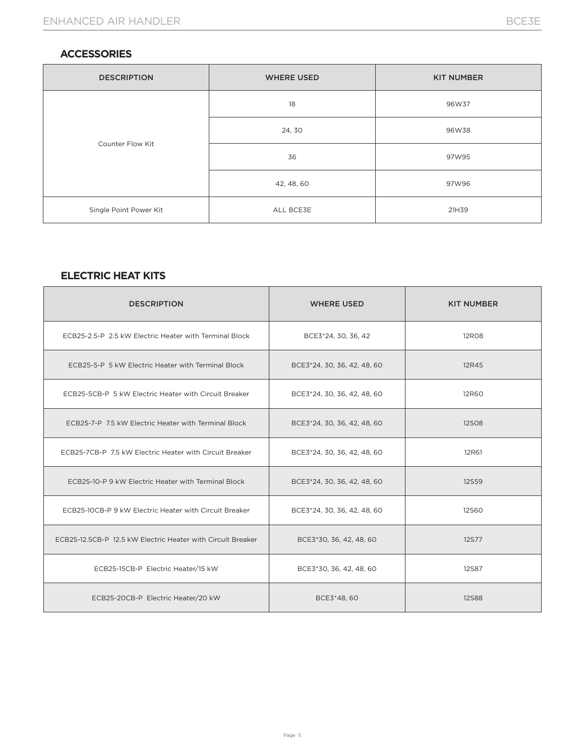#### **ACCESSORIES**

| <b>DESCRIPTION</b>     | <b>WHERE USED</b> | <b>KIT NUMBER</b> |
|------------------------|-------------------|-------------------|
|                        | 18                | 96W37             |
| Counter Flow Kit       | 24, 30            | 96W38             |
|                        | 36                | 97W95             |
|                        | 42, 48, 60        | 97W96             |
| Single Point Power Kit | ALL BCE3E         | 21H39             |

### **ELECTRIC HEAT KITS**

| <b>DESCRIPTION</b>                                          | <b>WHERE USED</b>           | <b>KIT NUMBER</b> |
|-------------------------------------------------------------|-----------------------------|-------------------|
| ECB25-2.5-P 2.5 kW Electric Heater with Terminal Block      | BCE3*24, 30, 36, 42         | <b>12R08</b>      |
| ECB25-5-P 5 kW Electric Heater with Terminal Block          | BCE3*24, 30, 36, 42, 48, 60 | 12R45             |
| ECB25-5CB-P 5 kW Electric Heater with Circuit Breaker       | BCE3*24, 30, 36, 42, 48, 60 | 12R60             |
| ECB25-7-P 7.5 kW Electric Heater with Terminal Block        | BCE3*24, 30, 36, 42, 48, 60 | <b>12SO8</b>      |
| ECB25-7CB-P 7.5 kW Electric Heater with Circuit Breaker     | BCE3*24, 30, 36, 42, 48, 60 | 12R61             |
| ECB25-10-P 9 kW Electric Heater with Terminal Block         | BCE3*24, 30, 36, 42, 48, 60 | <b>12S59</b>      |
| ECB25-10CB-P 9 kW Electric Heater with Circuit Breaker      | BCE3*24, 30, 36, 42, 48, 60 | <b>12S60</b>      |
| ECB25-12.5CB-P 12.5 kW Electric Heater with Circuit Breaker | BCE3*30, 36, 42, 48, 60     | <b>12S77</b>      |
| ECB25-15CB-P Electric Heater/15 kW                          | BCE3*30, 36, 42, 48, 60     | <b>12S87</b>      |
| ECB25-20CB-P Electric Heater/20 kW                          | BCE3*48, 60                 | <b>12S88</b>      |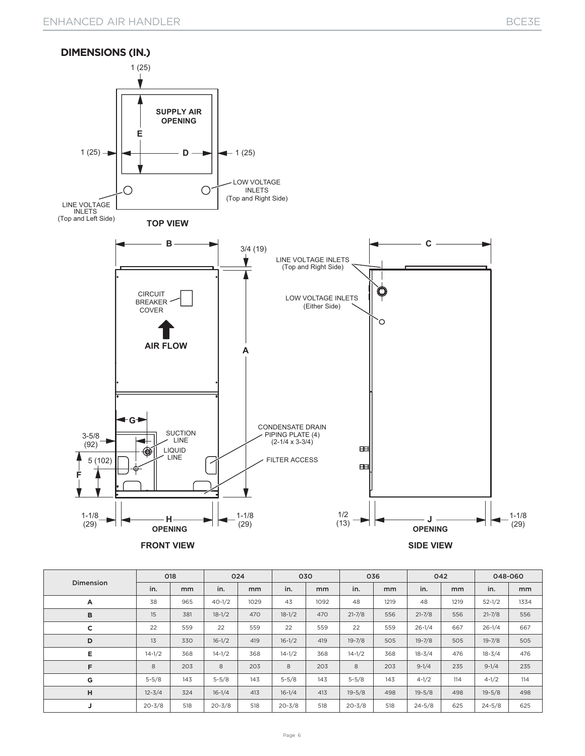

| Dimension | 018        |               | 024        |      | 030        |      | 036        |      | 042        |      | 048-060    |               |
|-----------|------------|---------------|------------|------|------------|------|------------|------|------------|------|------------|---------------|
|           | in.        | <sub>mm</sub> | in.        | mm   | in.        | mm   | in.        | mm   | in.        | mm   | in.        | <sub>mm</sub> |
| A         | 38         | 965           | $40 - 1/2$ | 1029 | 43         | 1092 | 48         | 1219 | 48         | 1219 | $52 - 1/2$ | 1334          |
| B         | 15         | 381           | $18 - 1/2$ | 470  | $18 - 1/2$ | 470  | $21 - 7/8$ | 556  | $21 - 7/8$ | 556  | $21 - 7/8$ | 556           |
| c         | 22         | 559           | 22         | 559  | 22         | 559  | 22         | 559  | $26 - 1/4$ | 667  | $26 - 1/4$ | 667           |
| D         | 13         | 330           | $16 - 1/2$ | 419  | $16 - 1/2$ | 419  | $19 - 7/8$ | 505  | $19 - 7/8$ | 505  | $19 - 7/8$ | 505           |
| E         | $14 - 1/2$ | 368           | $14 - 1/2$ | 368  | $14 - 1/2$ | 368  | $14 - 1/2$ | 368  | $18 - 3/4$ | 476  | $18 - 3/4$ | 476           |
| F         | 8          | 203           | 8          | 203  | 8          | 203  | 8          | 203  | $9-1/4$    | 235  | $9 - 1/4$  | 235           |
| G         | $5 - 5/8$  | 143           | $5 - 5/8$  | 143  | $5 - 5/8$  | 143  | $5 - 5/8$  | 143  | $4 - 1/2$  | 114  | $4 - 1/2$  | 114           |
| н         | $12 - 3/4$ | 324           | $16 - 1/4$ | 413  | $16 - 1/4$ | 413  | $19 - 5/8$ | 498  | $19 - 5/8$ | 498  | $19 - 5/8$ | 498           |
| J         | $20 - 3/8$ | 518           | $20 - 3/8$ | 518  | $20 - 3/8$ | 518  | $20 - 3/8$ | 518  | $24 - 5/8$ | 625  | $24 - 5/8$ | 625           |